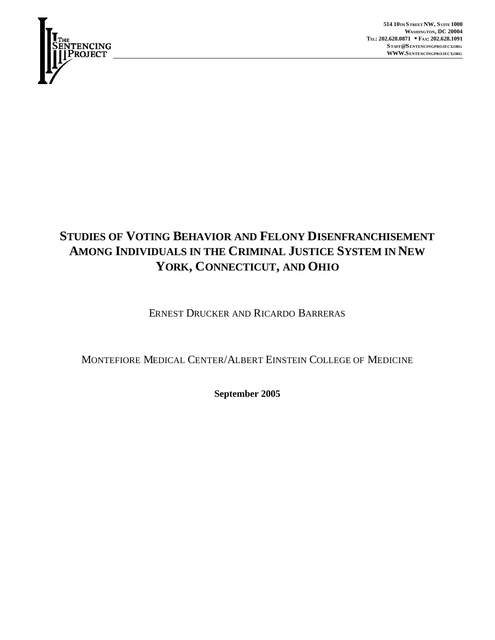

**514 10TH STREET NW, S UITE 1000 WASHINGTON, DC 20004 TEL: 202.628.0871 ·· FAX: 202.628.1091 STAFF@SENTENCINGPROJECT.ORG WWW.SENTENCINGPROJECT.ORG**

# **STUDIES OF VOTING BEHAVIOR AND FELONY DISENFRANCHISEMENT AMONG INDIVIDUALS IN THE CRIMINAL JUSTICE SYSTEM IN NEW YORK, CONNECTICUT, AND OHIO**

ERNEST DRUCKER AND RICARDO BARRERAS

MONTEFIORE MEDICAL CENTER/ALBERT EINSTEIN COLLEGE OF MEDICINE

**September 2005**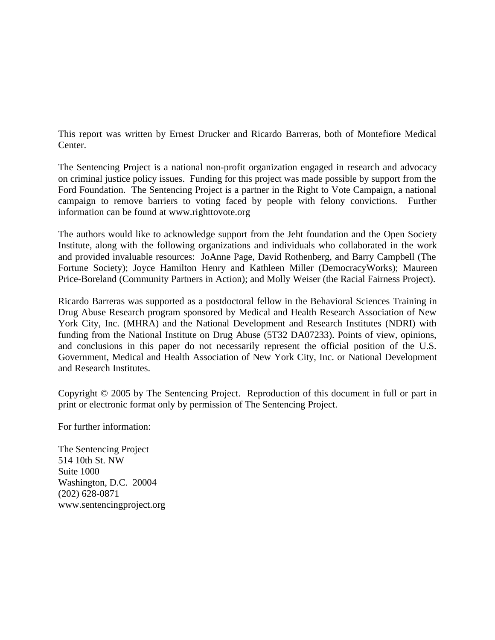This report was written by Ernest Drucker and Ricardo Barreras, both of Montefiore Medical Center.

The Sentencing Project is a national non-profit organization engaged in research and advocacy on criminal justice policy issues. Funding for this project was made possible by support from the Ford Foundation. The Sentencing Project is a partner in the Right to Vote Campaign, a national campaign to remove barriers to voting faced by people with felony convictions. Further information can be found at www.righttovote.org

The authors would like to acknowledge support from the Jeht foundation and the Open Society Institute, along with the following organizations and individuals who collaborated in the work and provided invaluable resources: JoAnne Page, David Rothenberg, and Barry Campbell (The Fortune Society); Joyce Hamilton Henry and Kathleen Miller (DemocracyWorks); Maureen Price-Boreland (Community Partners in Action); and Molly Weiser (the Racial Fairness Project).

Ricardo Barreras was supported as a postdoctoral fellow in the Behavioral Sciences Training in Drug Abuse Research program sponsored by Medical and Health Research Association of New York City, Inc. (MHRA) and the National Development and Research Institutes (NDRI) with funding from the National Institute on Drug Abuse (5T32 DA07233). Points of view, opinions, and conclusions in this paper do not necessarily represent the official position of the U.S. Government, Medical and Health Association of New York City, Inc. or National Development and Research Institutes.

Copyright © 2005 by The Sentencing Project. Reproduction of this document in full or part in print or electronic format only by permission of The Sentencing Project.

For further information:

The Sentencing Project 514 10th St. NW Suite 1000 Washington, D.C. 20004 (202) 628-0871 www.sentencingproject.org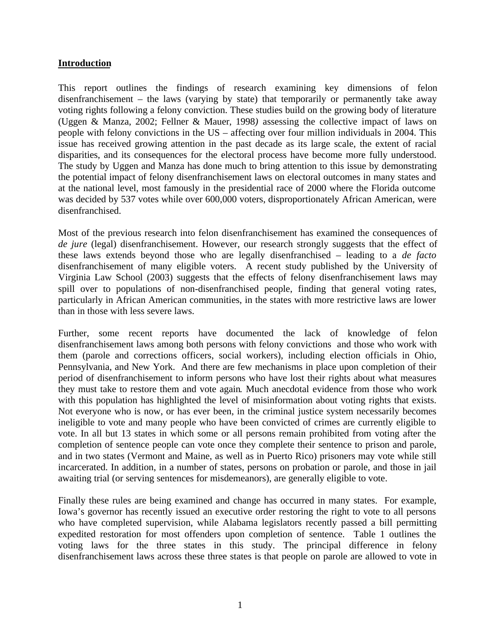## **Introduction**

This report outlines the findings of research examining key dimensions of felon disenfranchisement – the laws (varying by state) that temporarily or permanently take away voting rights following a felony conviction. These studies build on the growing body of literature (Uggen & Manza, 2002; Fellner & Mauer, 1998*)* assessing the collective impact of laws on people with felony convictions in the US – affecting over four million individuals in 2004. This issue has received growing attention in the past decade as its large scale, the extent of racial disparities, and its consequences for the electoral process have become more fully understood. The study by Uggen and Manza has done much to bring attention to this issue by demonstrating the potential impact of felony disenfranchisement laws on electoral outcomes in many states and at the national level, most famously in the presidential race of 2000 where the Florida outcome was decided by 537 votes while over 600,000 voters, disproportionately African American, were disenfranchised.

Most of the previous research into felon disenfranchisement has examined the consequences of *de jure* (legal) disenfranchisement. However, our research strongly suggests that the effect of these laws extends beyond those who are legally disenfranchised – leading to a *de facto* disenfranchisement of many eligible voters. A recent study published by the University of Virginia Law School (2003) suggests that the effects of felony disenfranchisement laws may spill over to populations of non-disenfranchised people, finding that general voting rates, particularly in African American communities, in the states with more restrictive laws are lower than in those with less severe laws.

Further, some recent reports have documented the lack of knowledge of felon disenfranchisement laws among both persons with felony convictions and those who work with them (parole and corrections officers, social workers), including election officials in Ohio, Pennsylvania, and New York. And there are few mechanisms in place upon completion of their period of disenfranchisement to inform persons who have lost their rights about what measures they must take to restore them and vote again*.* Much anecdotal evidence from those who work with this population has highlighted the level of misinformation about voting rights that exists. Not everyone who is now, or has ever been, in the criminal justice system necessarily becomes ineligible to vote and many people who have been convicted of crimes are currently eligible to vote. In all but 13 states in which some or all persons remain prohibited from voting after the completion of sentence people can vote once they complete their sentence to prison and parole, and in two states (Vermont and Maine, as well as in Puerto Rico) prisoners may vote while still incarcerated. In addition, in a number of states, persons on probation or parole, and those in jail awaiting trial (or serving sentences for misdemeanors), are generally eligible to vote.

Finally these rules are being examined and change has occurred in many states. For example, Iowa's governor has recently issued an executive order restoring the right to vote to all persons who have completed supervision, while Alabama legislators recently passed a bill permitting expedited restoration for most offenders upon completion of sentence. Table 1 outlines the voting laws for the three states in this study. The principal difference in felony disenfranchisement laws across these three states is that people on parole are allowed to vote in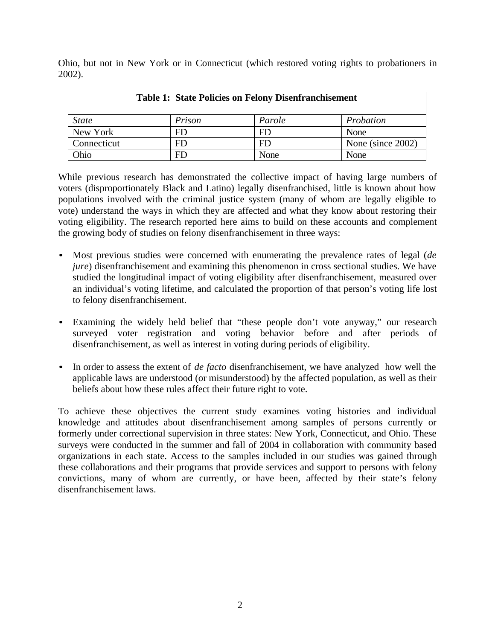Ohio, but not in New York or in Connecticut (which restored voting rights to probationers in 2002).

| <b>Table 1: State Policies on Felony Disenfranchisement</b> |        |        |                   |  |  |  |  |
|-------------------------------------------------------------|--------|--------|-------------------|--|--|--|--|
| <i>State</i>                                                | Prison | Parole | Probation         |  |  |  |  |
| New York                                                    | FD     | FD     | None              |  |  |  |  |
| Connecticut                                                 | FD     | FD     | None (since 2002) |  |  |  |  |
| Ohio                                                        | FD     | None   | None              |  |  |  |  |

While previous research has demonstrated the collective impact of having large numbers of voters (disproportionately Black and Latino) legally disenfranchised, little is known about how populations involved with the criminal justice system (many of whom are legally eligible to vote) understand the ways in which they are affected and what they know about restoring their voting eligibility. The research reported here aims to build on these accounts and complement the growing body of studies on felony disenfranchisement in three ways:

- **·** Most previous studies were concerned with enumerating the prevalence rates of legal (*de jure*) disenfranchisement and examining this phenomenon in cross sectional studies. We have studied the longitudinal impact of voting eligibility after disenfranchisement, measured over an individual's voting lifetime, and calculated the proportion of that person's voting life lost to felony disenfranchisement.
- Examining the widely held belief that "these people don't vote anyway," our research surveyed voter registration and voting behavior before and after periods of disenfranchisement, as well as interest in voting during periods of eligibility.
- **·** In order to assess the extent of *de facto* disenfranchisement, we have analyzed how well the applicable laws are understood (or misunderstood) by the affected population, as well as their beliefs about how these rules affect their future right to vote.

To achieve these objectives the current study examines voting histories and individual knowledge and attitudes about disenfranchisement among samples of persons currently or formerly under correctional supervision in three states: New York, Connecticut, and Ohio. These surveys were conducted in the summer and fall of 2004 in collaboration with community based organizations in each state. Access to the samples included in our studies was gained through these collaborations and their programs that provide services and support to persons with felony convictions, many of whom are currently, or have been, affected by their state's felony disenfranchisement laws.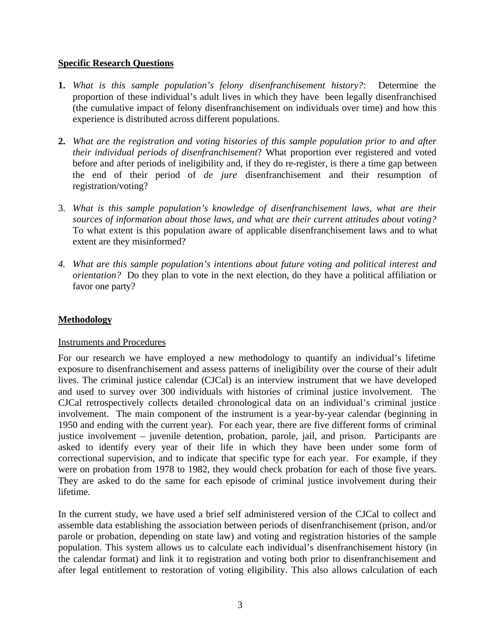## **Specific Research Questions**

- **1.** *What is this sample population's felony disenfranchisement history?*: Determine the proportion of these individual's adult lives in which they have been legally disenfranchised (the cumulative impact of felony disenfranchisement on individuals over time) and how this experience is distributed across different populations.
- **2.** *What are the registration and voting histories of this sample population prior to and after their individual periods of disenfranchisement*? What proportion ever registered and voted before and after periods of ineligibility and, if they do re-register, is there a time gap between the end of their period of *de jure* disenfranchisement and their resumption of registration/voting?
- 3. *What is this sample population's knowledge of disenfranchisement laws, what are their sources of information about those laws, and what are their current attitudes about voting?* To what extent is this population aware of applicable disenfranchisement laws and to what extent are they misinformed?
- *4. What are this sample population's intentions about future voting and political interest and orientation?* Do they plan to vote in the next election, do they have a political affiliation or favor one party?

## **Methodology**

## Instruments and Procedures

For our research we have employed a new methodology to quantify an individual's lifetime exposure to disenfranchisement and assess patterns of ineligibility over the course of their adult lives. The criminal justice calendar (CJCal) is an interview instrument that we have developed and used to survey over 300 individuals with histories of criminal justice involvement. The CJCal retrospectively collects detailed chronological data on an individual's criminal justice involvement. The main component of the instrument is a year-by-year calendar (beginning in 1950 and ending with the current year). For each year, there are five different forms of criminal justice involvement – juvenile detention, probation, parole, jail, and prison. Participants are asked to identify every year of their life in which they have been under some form of correctional supervision, and to indicate that specific type for each year. For example, if they were on probation from 1978 to 1982, they would check probation for each of those five years. They are asked to do the same for each episode of criminal justice involvement during their lifetime.

In the current study, we have used a brief self administered version of the CJCal to collect and assemble data establishing the association between periods of disenfranchisement (prison, and/or parole or probation, depending on state law) and voting and registration histories of the sample population. This system allows us to calculate each individual's disenfranchisement history (in the calendar format) and link it to registration and voting both prior to disenfranchisement and after legal entitlement to restoration of voting eligibility. This also allows calculation of each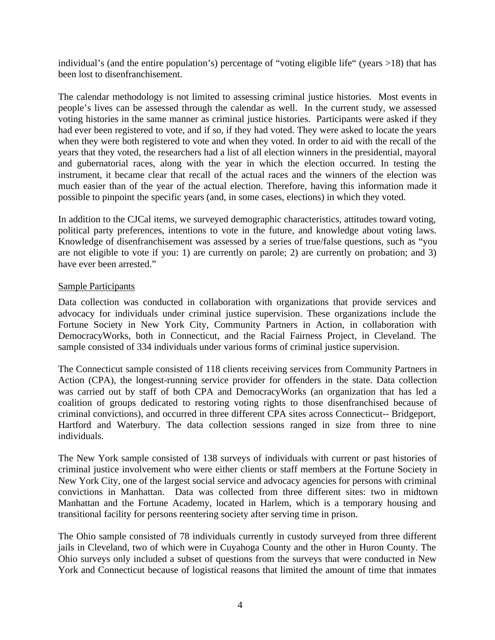individual's (and the entire population's) percentage of "voting eligible life" (years >18) that has been lost to disenfranchisement.

The calendar methodology is not limited to assessing criminal justice histories. Most events in people's lives can be assessed through the calendar as well. In the current study, we assessed voting histories in the same manner as criminal justice histories. Participants were asked if they had ever been registered to vote, and if so, if they had voted. They were asked to locate the years when they were both registered to vote and when they voted. In order to aid with the recall of the years that they voted, the researchers had a list of all election winners in the presidential, mayoral and gubernatorial races, along with the year in which the election occurred. In testing the instrument, it became clear that recall of the actual races and the winners of the election was much easier than of the year of the actual election. Therefore, having this information made it possible to pinpoint the specific years (and, in some cases, elections) in which they voted.

In addition to the CJCal items, we surveyed demographic characteristics, attitudes toward voting, political party preferences, intentions to vote in the future, and knowledge about voting laws. Knowledge of disenfranchisement was assessed by a series of true/false questions, such as "you are not eligible to vote if you: 1) are currently on parole; 2) are currently on probation; and 3) have ever been arrested."

## Sample Participants

Data collection was conducted in collaboration with organizations that provide services and advocacy for individuals under criminal justice supervision. These organizations include the Fortune Society in New York City, Community Partners in Action, in collaboration with DemocracyWorks, both in Connecticut, and the Racial Fairness Project, in Cleveland. The sample consisted of 334 individuals under various forms of criminal justice supervision.

The Connecticut sample consisted of 118 clients receiving services from Community Partners in Action (CPA), the longest-running service provider for offenders in the state. Data collection was carried out by staff of both CPA and DemocracyWorks (an organization that has led a coalition of groups dedicated to restoring voting rights to those disenfranchised because of criminal convictions), and occurred in three different CPA sites across Connecticut-- Bridgeport, Hartford and Waterbury. The data collection sessions ranged in size from three to nine individuals.

The New York sample consisted of 138 surveys of individuals with current or past histories of criminal justice involvement who were either clients or staff members at the Fortune Society in New York City, one of the largest social service and advocacy agencies for persons with criminal convictions in Manhattan. Data was collected from three different sites: two in midtown Manhattan and the Fortune Academy, located in Harlem, which is a temporary housing and transitional facility for persons reentering society after serving time in prison.

The Ohio sample consisted of 78 individuals currently in custody surveyed from three different jails in Cleveland, two of which were in Cuyahoga County and the other in Huron County. The Ohio surveys only included a subset of questions from the surveys that were conducted in New York and Connecticut because of logistical reasons that limited the amount of time that inmates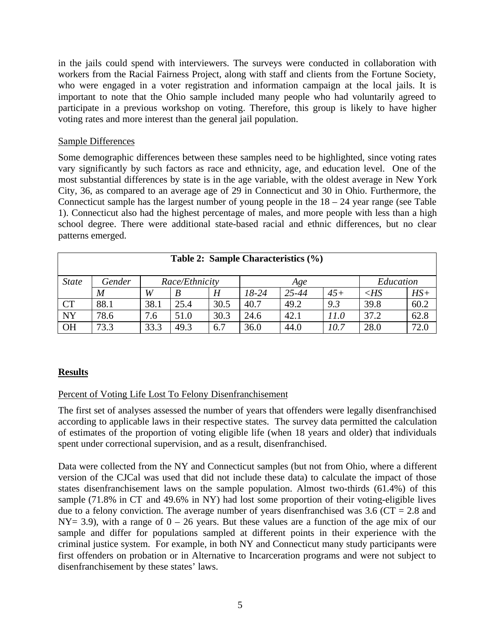in the jails could spend with interviewers. The surveys were conducted in collaboration with workers from the Racial Fairness Project, along with staff and clients from the Fortune Society, who were engaged in a voter registration and information campaign at the local jails. It is important to note that the Ohio sample included many people who had voluntarily agreed to participate in a previous workshop on voting. Therefore, this group is likely to have higher voting rates and more interest than the general jail population.

## Sample Differences

Some demographic differences between these samples need to be highlighted, since voting rates vary significantly by such factors as race and ethnicity, age, and education level. One of the most substantial differences by state is in the age variable, with the oldest average in New York City, 36, as compared to an average age of 29 in Connecticut and 30 in Ohio. Furthermore, the Connecticut sample has the largest number of young people in the  $18 - 24$  year range (see Table 1). Connecticut also had the highest percentage of males, and more people with less than a high school degree. There were additional state-based racial and ethnic differences, but no clear patterns emerged.

| Table 2: Sample Characteristics (%)                          |                  |      |      |      |         |           |       |        |       |
|--------------------------------------------------------------|------------------|------|------|------|---------|-----------|-------|--------|-------|
| <i>State</i><br>Gender<br>Race/Ethnicity<br>Education<br>Age |                  |      |      |      |         |           |       |        |       |
|                                                              | $\boldsymbol{M}$ | W    |      | H    | $18-24$ | $25 - 44$ | $45+$ | $<$ HS | $HS+$ |
| <b>CT</b>                                                    | 88.1             | 38.1 | 25.4 | 30.5 | 40.7    | 49.2      | 9.3   | 39.8   | 60.2  |
| <b>NY</b>                                                    | 78.6             | 7.6  | 51.0 | 30.3 | 24.6    | 42.1      | 11.0  | 37.2   | 62.8  |
| <b>OH</b>                                                    | 73.3             | 33.3 | 49.3 | 6.7  | 36.0    | 44.0      | 10.7  | 28.0   | 72.0  |

# **Results**

# Percent of Voting Life Lost To Felony Disenfranchisement

The first set of analyses assessed the number of years that offenders were legally disenfranchised according to applicable laws in their respective states. The survey data permitted the calculation of estimates of the proportion of voting eligible life (when 18 years and older) that individuals spent under correctional supervision, and as a result, disenfranchised.

Data were collected from the NY and Connecticut samples (but not from Ohio, where a different version of the CJCal was used that did not include these data) to calculate the impact of those states disenfranchisement laws on the sample population. Almost two-thirds (61.4%) of this sample (71.8% in CT and 49.6% in NY) had lost some proportion of their voting-eligible lives due to a felony conviction. The average number of years disenfranchised was  $3.6$  (CT = 2.8 and  $NY = 3.9$ , with a range of  $0 - 26$  years. But these values are a function of the age mix of our sample and differ for populations sampled at different points in their experience with the criminal justice system. For example, in both NY and Connecticut many study participants were first offenders on probation or in Alternative to Incarceration programs and were not subject to disenfranchisement by these states' laws.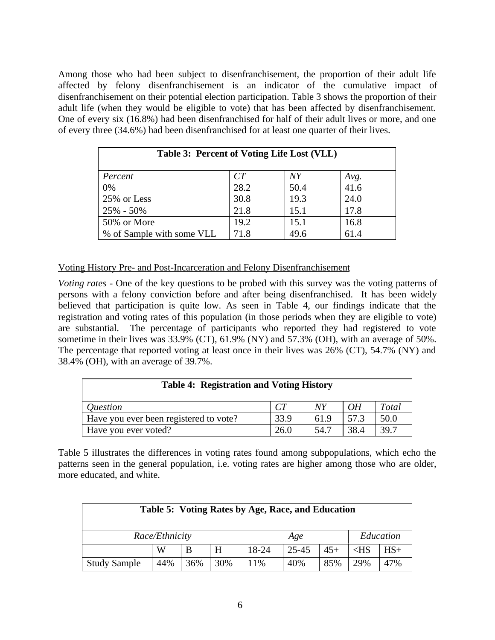Among those who had been subject to disenfranchisement, the proportion of their adult life affected by felony disenfranchisement is an indicator of the cumulative impact of disenfranchisement on their potential election participation. Table 3 shows the proportion of their adult life (when they would be eligible to vote) that has been affected by disenfranchisement. One of every six (16.8%) had been disenfranchised for half of their adult lives or more, and one of every three (34.6%) had been disenfranchised for at least one quarter of their lives.

| Table 3: Percent of Voting Life Lost (VLL) |      |                 |      |  |  |  |
|--------------------------------------------|------|-----------------|------|--|--|--|
| Percent                                    | CT   | $\overline{NY}$ | Avg. |  |  |  |
| 0%                                         | 28.2 | 50.4            | 41.6 |  |  |  |
| 25% or Less                                | 30.8 | 19.3            | 24.0 |  |  |  |
| $25\% - 50\%$                              | 21.8 | 15.1            | 17.8 |  |  |  |
| 50% or More                                | 19.2 | 15.1            | 16.8 |  |  |  |
| % of Sample with some VLL                  | 71.8 | 49.6            | 61.4 |  |  |  |

Voting History Pre- and Post-Incarceration and Felony Disenfranchisement

*Voting rates* - One of the key questions to be probed with this survey was the voting patterns of persons with a felony conviction before and after being disenfranchised. It has been widely believed that participation is quite low. As seen in Table 4, our findings indicate that the registration and voting rates of this population (in those periods when they are eligible to vote) are substantial. The percentage of participants who reported they had registered to vote sometime in their lives was 33.9% (CT), 61.9% (NY) and 57.3% (OH), with an average of 50%. The percentage that reported voting at least once in their lives was 26% (CT), 54.7% (NY) and 38.4% (OH), with an average of 39.7%.

| <b>Table 4: Registration and Voting History</b> |                |      |      |       |  |  |  |  |
|-------------------------------------------------|----------------|------|------|-------|--|--|--|--|
| <i><u><b>Ouestion</b></u></i>                   | C <sub>T</sub> | NY   | OH   | Total |  |  |  |  |
| Have you ever been registered to vote?          | 33.9           | 61.9 | 57.3 | 50.0  |  |  |  |  |
| Have you ever voted?                            | 26.0           | 54.7 | 38.4 | 39.7  |  |  |  |  |

Table 5 illustrates the differences in voting rates found among subpopulations, which echo the patterns seen in the general population, i.e. voting rates are higher among those who are older, more educated, and white.

| Table 5: Voting Rates by Age, Race, and Education |     |     |     |                                   |     |           |     |       |
|---------------------------------------------------|-----|-----|-----|-----------------------------------|-----|-----------|-----|-------|
| Race/Ethnicity                                    |     |     | Age |                                   |     | Education |     |       |
|                                                   | W   | B   | H   | 18-24<br>25-45<br>$45+$<br>$<$ HS |     |           |     | $HS+$ |
| <b>Study Sample</b>                               | 44% | 36% | 30% | 11%                               | 40% | 85%       | 29% | 47%   |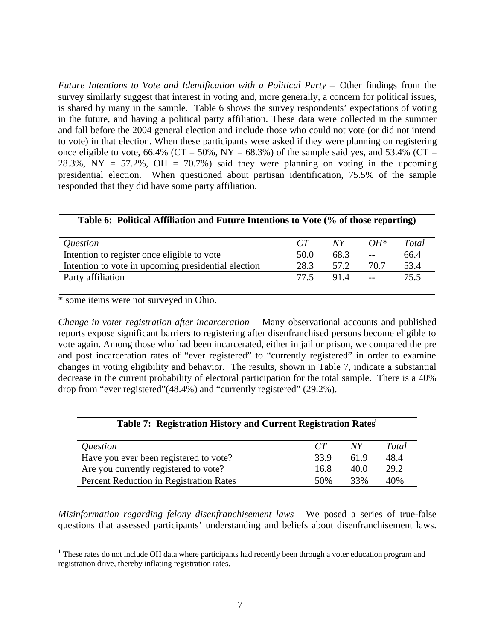*Future Intentions to Vote and Identification with a Political Party – Other findings from the* survey similarly suggest that interest in voting and, more generally, a concern for political issues, is shared by many in the sample. Table 6 shows the survey respondents' expectations of voting in the future, and having a political party affiliation. These data were collected in the summer and fall before the 2004 general election and include those who could not vote (or did not intend to vote) in that election. When these participants were asked if they were planning on registering once eligible to vote, 66.4% (CT = 50%, NY = 68.3%) of the sample said yes, and 53.4% (CT = 28.3%,  $NY = 57.2$ %,  $OH = 70.7$ %) said they were planning on voting in the upcoming presidential election. When questioned about partisan identification, 75.5% of the sample responded that they did have some party affiliation.

| Table 6: Political Affiliation and Future Intentions to Vote (% of those reporting) |                 |      |        |       |  |  |
|-------------------------------------------------------------------------------------|-----------------|------|--------|-------|--|--|
| <i><u><b>Ouestion</b></u></i>                                                       | CT <sup>-</sup> | NY   | $OH^*$ | Total |  |  |
| Intention to register once eligible to vote                                         | 50.0            | 68.3 |        | 66.4  |  |  |
| Intention to vote in upcoming presidential election                                 | 28.3            | 57.2 | 70.7   | 53.4  |  |  |
| Party affiliation                                                                   | 77.5            | 91.4 |        | 75.5  |  |  |

\* some items were not surveyed in Ohio.

*Change in voter registration after incarceration – Many observational accounts and published* reports expose significant barriers to registering after disenfranchised persons become eligible to vote again. Among those who had been incarcerated, either in jail or prison, we compared the pre and post incarceration rates of "ever registered" to "currently registered" in order to examine changes in voting eligibility and behavior. The results, shown in Table 7, indicate a substantial decrease in the current probability of electoral participation for the total sample. There is a 40% drop from "ever registered"(48.4%) and "currently registered" (29.2%).

| Table 7: Registration History and Current Registration Rates <sup>1</sup> |      |      |              |  |  |  |  |
|---------------------------------------------------------------------------|------|------|--------------|--|--|--|--|
| <i><u><b>Ouestion</b></u></i>                                             | CT   | NY   | <b>Total</b> |  |  |  |  |
| Have you ever been registered to vote?                                    | 33.9 | 61.9 | 48.4         |  |  |  |  |
| Are you currently registered to vote?                                     | 16.8 | 40.0 | 29.2         |  |  |  |  |
| Percent Reduction in Registration Rates                                   | 50%  | 33%  | 40%          |  |  |  |  |

*Misinformation regarding felony disenfranchisement laws –* We posed a series of true-false questions that assessed participants' understanding and beliefs about disenfranchisement laws.

<sup>&</sup>lt;sup>1</sup> These rates do not include OH data where participants had recently been through a voter education program and registration drive, thereby inflating registration rates.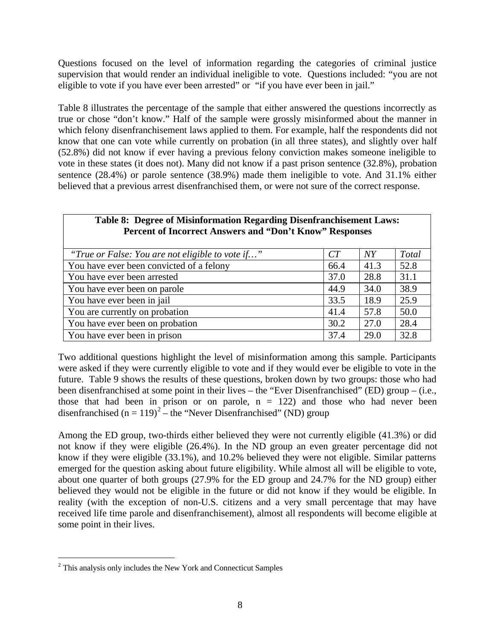Questions focused on the level of information regarding the categories of criminal justice supervision that would render an individual ineligible to vote. Questions included: "you are not eligible to vote if you have ever been arrested" or "if you have ever been in jail."

Table 8 illustrates the percentage of the sample that either answered the questions incorrectly as true or chose "don't know." Half of the sample were grossly misinformed about the manner in which felony disenfranchisement laws applied to them. For example, half the respondents did not know that one can vote while currently on probation (in all three states), and slightly over half (52.8%) did not know if ever having a previous felony conviction makes someone ineligible to vote in these states (it does not). Many did not know if a past prison sentence (32.8%), probation sentence (28.4%) or parole sentence (38.9%) made them ineligible to vote. And 31.1% either believed that a previous arrest disenfranchised them, or were not sure of the correct response.

| Table 8: Degree of Misinformation Regarding Disenfranchisement Laws:<br>Percent of Incorrect Answers and "Don't Know" Responses |      |      |       |  |  |  |  |
|---------------------------------------------------------------------------------------------------------------------------------|------|------|-------|--|--|--|--|
| "True or False: You are not eligible to vote if"                                                                                | CT   | NY   | Total |  |  |  |  |
| You have ever been convicted of a felony                                                                                        | 66.4 | 41.3 | 52.8  |  |  |  |  |
| You have ever been arrested                                                                                                     | 37.0 | 28.8 | 31.1  |  |  |  |  |
| You have ever been on parole                                                                                                    | 44.9 | 34.0 | 38.9  |  |  |  |  |
| You have ever been in jail                                                                                                      | 33.5 | 18.9 | 25.9  |  |  |  |  |
| You are currently on probation                                                                                                  | 41.4 | 57.8 | 50.0  |  |  |  |  |
| You have ever been on probation                                                                                                 | 30.2 | 27.0 | 28.4  |  |  |  |  |
| You have ever been in prison                                                                                                    | 37.4 | 29.0 | 32.8  |  |  |  |  |

Two additional questions highlight the level of misinformation among this sample. Participants were asked if they were currently eligible to vote and if they would ever be eligible to vote in the future. Table 9 shows the results of these questions, broken down by two groups: those who had been disenfranchised at some point in their lives – the "Ever Disenfranchised" (ED) group – (i.e., those that had been in prison or on parole,  $n = 122$ ) and those who had never been disenfranchised  $(n = 119)^2$  – the "Never Disenfranchised" (ND) group

Among the ED group, two-thirds either believed they were not currently eligible (41.3%) or did not know if they were eligible (26.4%). In the ND group an even greater percentage did not know if they were eligible (33.1%), and 10.2% believed they were not eligible. Similar patterns emerged for the question asking about future eligibility. While almost all will be eligible to vote, about one quarter of both groups (27.9% for the ED group and 24.7% for the ND group) either believed they would not be eligible in the future or did not know if they would be eligible. In reality (with the exception of non-U.S. citizens and a very small percentage that may have received life time parole and disenfranchisement), almost all respondents will become eligible at some point in their lives.

<sup>&</sup>lt;sup>2</sup> This analysis only includes the New York and Connecticut Samples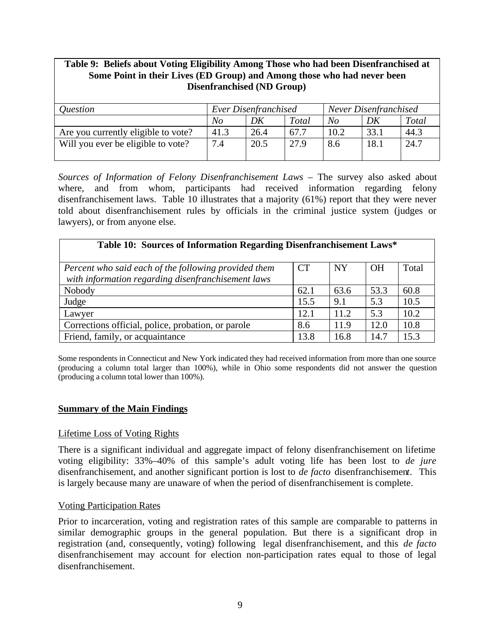# **Table 9: Beliefs about Voting Eligibility Among Those who had been Disenfranchised at Some Point in their Lives (ED Group) and Among those who had never been Disenfranchised (ND Group)**

| <i><u><b>Ouestion</b></u></i>       | Ever Disenfranchised |      |       | Never Disenfranchised |      |       |  |
|-------------------------------------|----------------------|------|-------|-----------------------|------|-------|--|
|                                     | No                   | DK   | Total | No                    | DK   | Total |  |
| Are you currently eligible to vote? | 41.3                 | 26.4 | 67.7  | 10.2                  | 33.1 | 44.3  |  |
| Will you ever be eligible to vote?  | 7.4                  | 20.5 | 27.9  | 8.6                   | 18.1 | 24.7  |  |
|                                     |                      |      |       |                       |      |       |  |

*Sources of Information of Felony Disenfranchisement Laws –* The survey also asked about where, and from whom, participants had received information regarding felony disenfranchisement laws. Table 10 illustrates that a majority (61%) report that they were never told about disenfranchisement rules by officials in the criminal justice system (judges or lawyers), or from anyone else.

| Table 10: Sources of Information Regarding Disenfranchisement Laws*                                        |           |           |           |       |  |  |  |
|------------------------------------------------------------------------------------------------------------|-----------|-----------|-----------|-------|--|--|--|
| Percent who said each of the following provided them<br>with information regarding disenfranchisement laws | <b>CT</b> | <b>NY</b> | <b>OH</b> | Total |  |  |  |
| Nobody                                                                                                     | 62.1      | 63.6      | 53.3      | 60.8  |  |  |  |
| Judge                                                                                                      | 15.5      | 9.1       | 5.3       | 10.5  |  |  |  |
| Lawyer                                                                                                     | 12.1      | 11.2      | 5.3       | 10.2  |  |  |  |
| Corrections official, police, probation, or parole                                                         | 8.6       | 11.9      | 12.0      | 10.8  |  |  |  |
| Friend, family, or acquaintance                                                                            | 13.8      | 16.8      | 14.7      | 15.3  |  |  |  |

Some respondents in Connecticut and New York indicated they had received information from more than one source (producing a column total larger than 100%), while in Ohio some respondents did not answer the question (producing a column total lower than 100%).

## **Summary of the Main Findings**

## Lifetime Loss of Voting Rights

There is a significant individual and aggregate impact of felony disenfranchisement on lifetime voting eligibility: 33%–40% of this sample's adult voting life has been lost to *de jure* disenfranchisement, and another significant portion is lost to *de facto* disenfranchisemen*t*. This is largely because many are unaware of when the period of disenfranchisement is complete.

## Voting Participation Rates

Prior to incarceration, voting and registration rates of this sample are comparable to patterns in similar demographic groups in the general population. But there is a significant drop in registration (and, consequently, voting) following legal disenfranchisement, and this *de facto* disenfranchisement may account for election non-participation rates equal to those of legal disenfranchisement.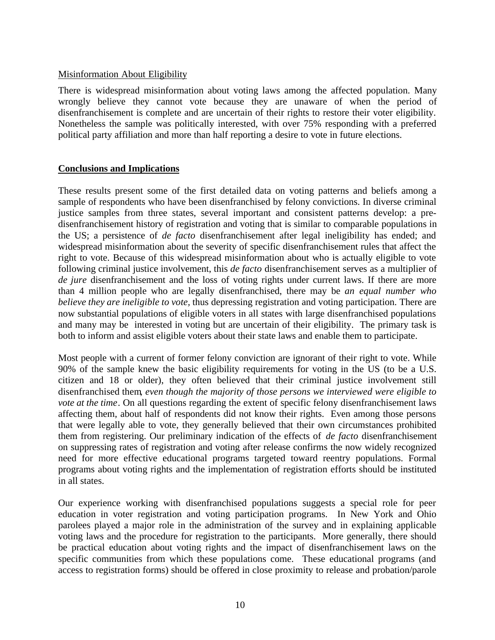## Misinformation About Eligibility

There is widespread misinformation about voting laws among the affected population. Many wrongly believe they cannot vote because they are unaware of when the period of disenfranchisement is complete and are uncertain of their rights to restore their voter eligibility. Nonetheless the sample was politically interested, with over 75% responding with a preferred political party affiliation and more than half reporting a desire to vote in future elections.

# **Conclusions and Implications**

These results present some of the first detailed data on voting patterns and beliefs among a sample of respondents who have been disenfranchised by felony convictions. In diverse criminal justice samples from three states, several important and consistent patterns develop: a predisenfranchisement history of registration and voting that is similar to comparable populations in the US; a persistence of *de facto* disenfranchisement after legal ineligibility has ended; and widespread misinformation about the severity of specific disenfranchisement rules that affect the right to vote. Because of this widespread misinformation about who is actually eligible to vote following criminal justice involvement, this *de facto* disenfranchisement serves as a multiplier of *de jure* disenfranchisement and the loss of voting rights under current laws. If there are more than 4 million people who are legally disenfranchised, there may be *an equal number who believe they are ineligible to vote,* thus depressing registration and voting participation. There are now substantial populations of eligible voters in all states with large disenfranchised populations and many may be interested in voting but are uncertain of their eligibility. The primary task is both to inform and assist eligible voters about their state laws and enable them to participate.

Most people with a current of former felony conviction are ignorant of their right to vote. While 90% of the sample knew the basic eligibility requirements for voting in the US (to be a U.S. citizen and 18 or older), they often believed that their criminal justice involvement still disenfranchised them*, even though the majority of those persons we interviewed were eligible to vote at the time*. On all questions regarding the extent of specific felony disenfranchisement laws affecting them, about half of respondents did not know their rights. Even among those persons that were legally able to vote, they generally believed that their own circumstances prohibited them from registering. Our preliminary indication of the effects of *de facto* disenfranchisement on suppressing rates of registration and voting after release confirms the now widely recognized need for more effective educational programs targeted toward reentry populations. Formal programs about voting rights and the implementation of registration efforts should be instituted in all states.

Our experience working with disenfranchised populations suggests a special role for peer education in voter registration and voting participation programs. In New York and Ohio parolees played a major role in the administration of the survey and in explaining applicable voting laws and the procedure for registration to the participants. More generally, there should be practical education about voting rights and the impact of disenfranchisement laws on the specific communities from which these populations come. These educational programs (and access to registration forms) should be offered in close proximity to release and probation/parole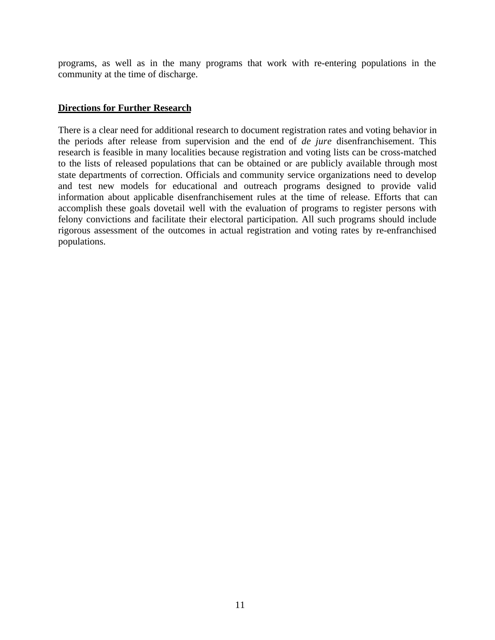programs, as well as in the many programs that work with re-entering populations in the community at the time of discharge.

## **Directions for Further Research**

There is a clear need for additional research to document registration rates and voting behavior in the periods after release from supervision and the end of *de jure* disenfranchisement. This research is feasible in many localities because registration and voting lists can be cross-matched to the lists of released populations that can be obtained or are publicly available through most state departments of correction. Officials and community service organizations need to develop and test new models for educational and outreach programs designed to provide valid information about applicable disenfranchisement rules at the time of release. Efforts that can accomplish these goals dovetail well with the evaluation of programs to register persons with felony convictions and facilitate their electoral participation. All such programs should include rigorous assessment of the outcomes in actual registration and voting rates by re-enfranchised populations.